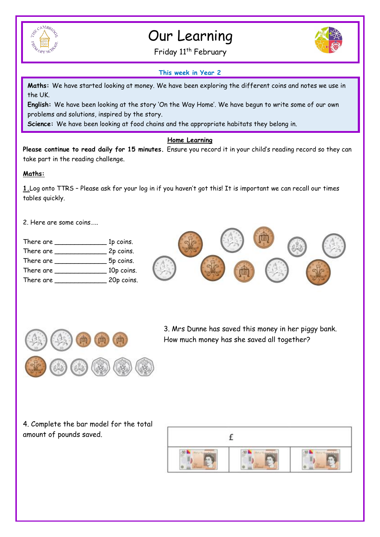

## Our Learning

Friday 11<sup>th</sup> February



## **This week in Year 2**

**Maths:** We have started looking at money. We have been exploring the different coins and notes we use in the UK.

**English:** We have been looking at the story 'On the Way Home'. We have begun to write some of our own problems and solutions, inspired by the story.

**Science:** We have been looking at food chains and the appropriate habitats they belong in.

## **Home Learning**

**Please continue to read daily for 15 minutes.** Ensure you record it in your child's reading record so they can take part in the reading challenge.

## **Maths:**

**1.**Log onto TTRS – Please ask for your log in if you haven't got this! It is important we can recall our times tables quickly.

2. Here are some coins…..

| There are | 1p coins.  |
|-----------|------------|
| There are | 2p coins.  |
| There are | 5p coins.  |
| There are | 10p coins. |
| There are | 20p coins. |
|           |            |





3. Mrs Dunne has saved this money in her piggy bank. How much money has she saved all together?

4. Complete the bar model for the total amount of pounds saved.